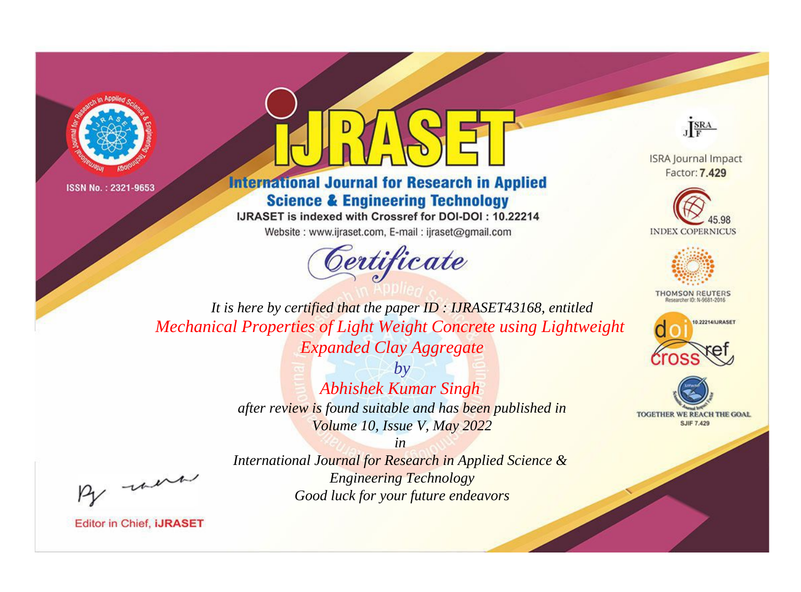



**International Journal for Research in Applied Science & Engineering Technology** 

IJRASET is indexed with Crossref for DOI-DOI: 10.22214

Website: www.ijraset.com, E-mail: ijraset@gmail.com



JERA

**ISRA Journal Impact** Factor: 7.429





**THOMSON REUTERS** 



TOGETHER WE REACH THE GOAL **SJIF 7.429** 

It is here by certified that the paper ID: IJRASET43168, entitled Mechanical Properties of Light Weight Concrete using Lightweight **Expanded Clay Aggregate** 

> $b\nu$ **Abhishek Kumar Singh** after review is found suitable and has been published in Volume 10, Issue V, May 2022

were

International Journal for Research in Applied Science & **Engineering Technology** Good luck for your future endeavors

 $in$ 

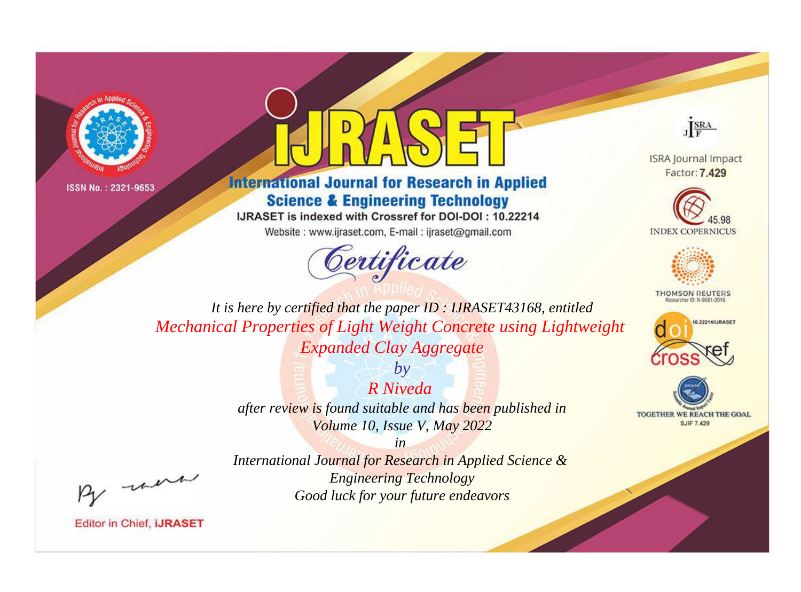



**International Journal for Research in Applied Science & Engineering Technology** 

IJRASET is indexed with Crossref for DOI-DOI: 10.22214

Website: www.ijraset.com, E-mail: ijraset@gmail.com





**ISRA Journal Impact** Factor: 7.429





**THOMSON REUTERS** 



TOGETHER WE REACH THE GOAL **SJIF 7.429** 

*It is here by certified that the paper ID : IJRASET43168, entitled Mechanical Properties of Light Weight Concrete using Lightweight Expanded Clay Aggregate*

> *R Niveda after review is found suitable and has been published in Volume 10, Issue V, May 2022*

> > *in*

*by*

- were

*International Journal for Research in Applied Science & Engineering Technology Good luck for your future endeavors*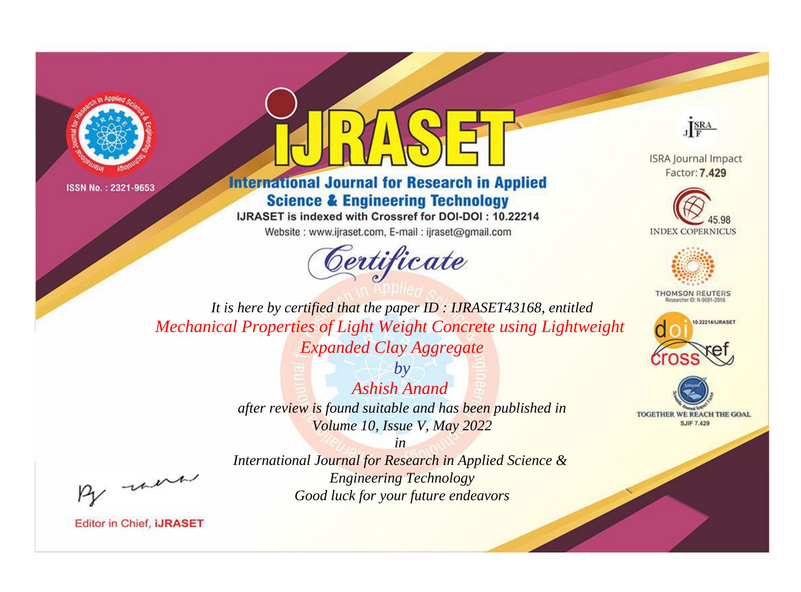



**International Journal for Research in Applied Science & Engineering Technology** 

IJRASET is indexed with Crossref for DOI-DOI: 10.22214

Website: www.ijraset.com, E-mail: ijraset@gmail.com



JERA

**ISRA Journal Impact** Factor: 7.429





**THOMSON REUTERS** 



TOGETHER WE REACH THE GOAL **SJIF 7.429** 

*It is here by certified that the paper ID : IJRASET43168, entitled Mechanical Properties of Light Weight Concrete using Lightweight Expanded Clay Aggregate*

> *by Ashish Anand after review is found suitable and has been published in Volume 10, Issue V, May 2022*

> > *in*

- were

*International Journal for Research in Applied Science & Engineering Technology Good luck for your future endeavors*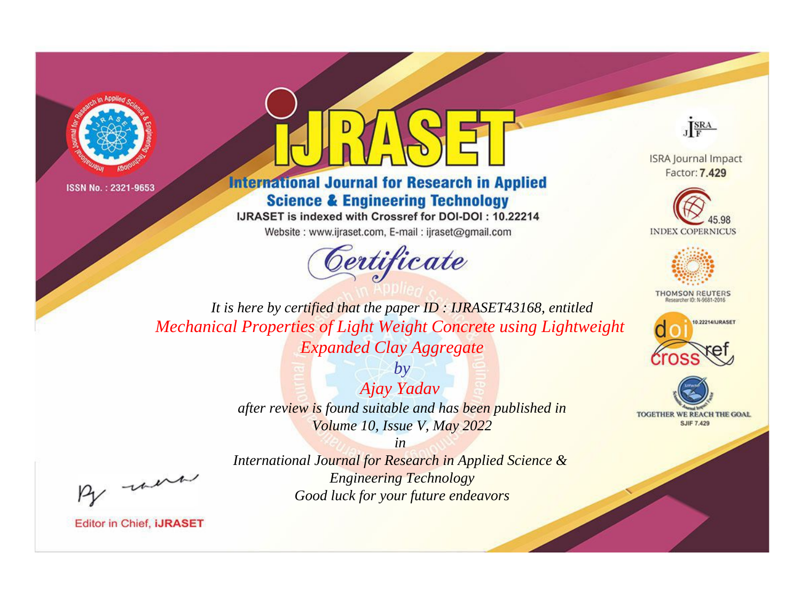



**International Journal for Research in Applied Science & Engineering Technology** 

IJRASET is indexed with Crossref for DOI-DOI: 10.22214

Website: www.ijraset.com, E-mail: ijraset@gmail.com



JERA

**ISRA Journal Impact** Factor: 7.429





**THOMSON REUTERS** 



TOGETHER WE REACH THE GOAL **SJIF 7.429** 

It is here by certified that the paper ID: IJRASET43168, entitled **Mechanical Properties of Light Weight Concrete using Lightweight Expanded Clay Aggregate** 

> Ajay Yadav after review is found suitable and has been published in Volume 10, Issue V, May 2022

 $b\nu$ 

were

International Journal for Research in Applied Science & **Engineering Technology** Good luck for your future endeavors

 $in$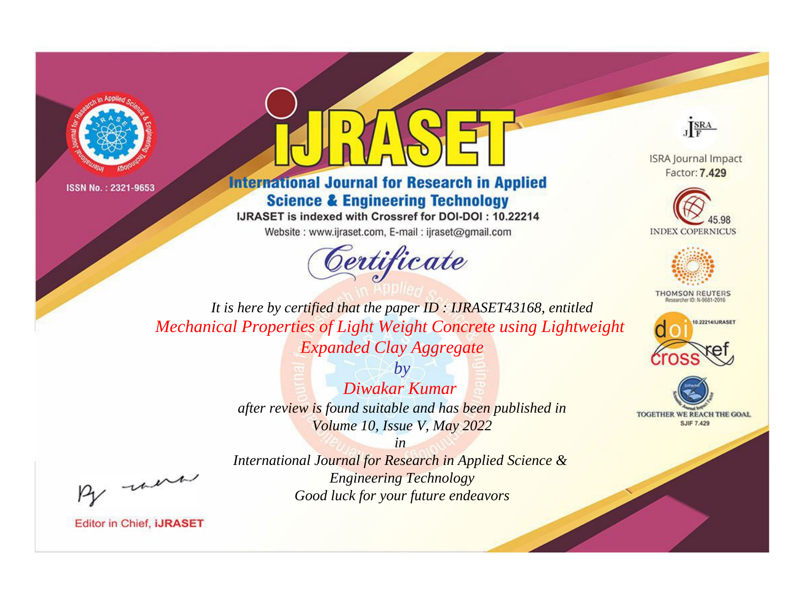



**International Journal for Research in Applied Science & Engineering Technology** 

IJRASET is indexed with Crossref for DOI-DOI: 10.22214

Website: www.ijraset.com, E-mail: ijraset@gmail.com



JERA

**ISRA Journal Impact** Factor: 7.429





**THOMSON REUTERS** 



TOGETHER WE REACH THE GOAL **SJIF 7.429** 

It is here by certified that the paper ID: IJRASET43168, entitled **Mechanical Properties of Light Weight Concrete using Lightweight Expanded Clay Aggregate** 

> $b\nu$ Diwakar Kumar after review is found suitable and has been published in Volume 10, Issue V, May 2022

were

International Journal for Research in Applied Science & **Engineering Technology** Good luck for your future endeavors

 $in$